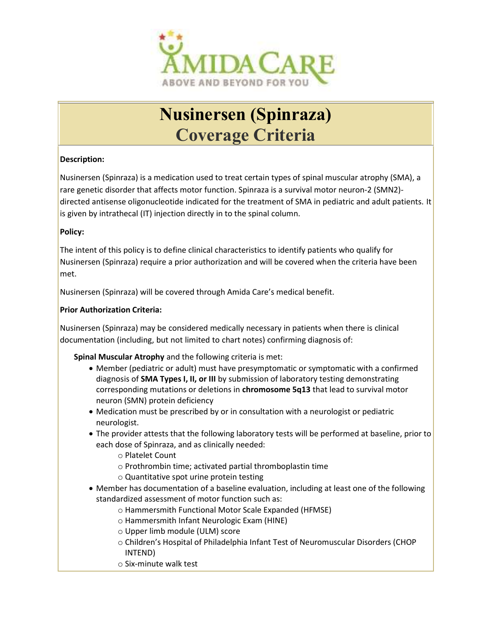

# Nusinersen (Spinraza) Coverage Criteria

## Description:

Nusinersen (Spinraza) is a medication used to treat certain types of spinal muscular atrophy (SMA), a rare genetic disorder that affects motor function. Spinraza is a survival motor neuron-2 (SMN2) directed antisense oligonucleotide indicated for the treatment of SMA in pediatric and adult patients. It is given by intrathecal (IT) injection directly in to the spinal column.

## Policy:

The intent of this policy is to define clinical characteristics to identify patients who qualify for Nusinersen (Spinraza) require a prior authorization and will be covered when the criteria have been met.

Nusinersen (Spinraza) will be covered through Amida Care's medical benefit.

## Prior Authorization Criteria:

Nusinersen (Spinraza) may be considered medically necessary in patients when there is clinical documentation (including, but not limited to chart notes) confirming diagnosis of:

Spinal Muscular Atrophy and the following criteria is met:

- Member (pediatric or adult) must have presymptomatic or symptomatic with a confirmed diagnosis of **SMA Types I, II, or III** by submission of laboratory testing demonstrating corresponding mutations or deletions in chromosome 5q13 that lead to survival motor neuron (SMN) protein deficiency
- Medication must be prescribed by or in consultation with a neurologist or pediatric neurologist.
- The provider attests that the following laboratory tests will be performed at baseline, prior to each dose of Spinraza, and as clinically needed:
	- o Platelet Count
	- o Prothrombin time; activated partial thromboplastin time
	- o Quantitative spot urine protein testing
- Member has documentation of a baseline evaluation, including at least one of the following standardized assessment of motor function such as:
	- o Hammersmith Functional Motor Scale Expanded (HFMSE)
	- o Hammersmith Infant Neurologic Exam (HINE)
	- o Upper limb module (ULM) score
	- o Children's Hospital of Philadelphia Infant Test of Neuromuscular Disorders (CHOP INTEND)
	- o Six-minute walk test